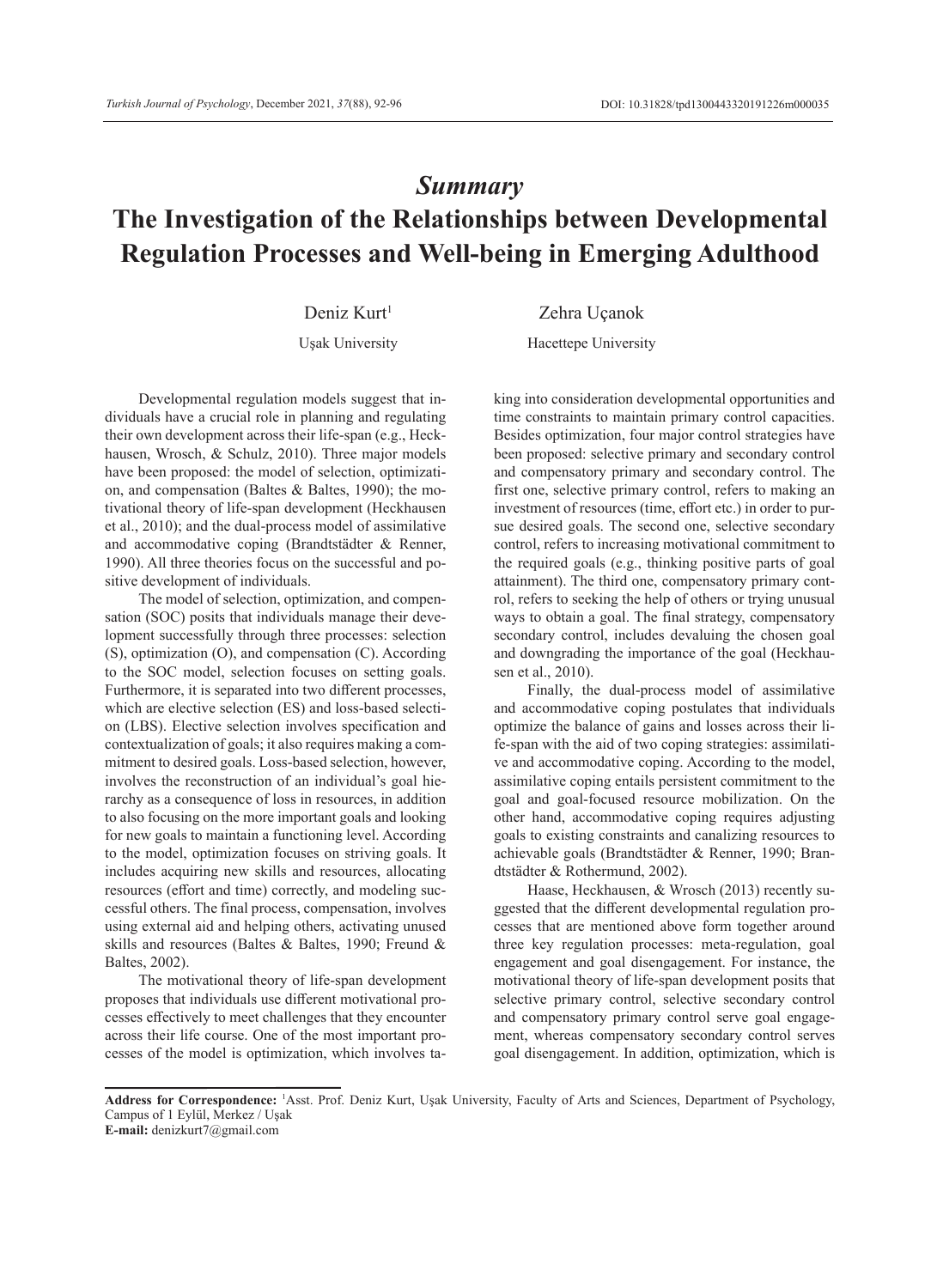# *Summary* **The Investigation of the Relationships between Developmental Regulation Processes and Well-being in Emerging Adulthood**

Deniz Kurt<sup>1</sup> Zehra Uçanok

Uşak University Hacettepe University

Developmental regulation models suggest that individuals have a crucial role in planning and regulating their own development across their life-span (e.g., Heckhausen, Wrosch, & Schulz, 2010). Three major models have been proposed: the model of selection, optimization, and compensation (Baltes & Baltes, 1990); the motivational theory of life-span development (Heckhausen et al., 2010); and the dual-process model of assimilative and accommodative coping (Brandtstädter & Renner, 1990). All three theories focus on the successful and positive development of individuals.

The model of selection, optimization, and compensation (SOC) posits that individuals manage their development successfully through three processes: selection (S), optimization (O), and compensation (C). According to the SOC model, selection focuses on setting goals. Furthermore, it is separated into two different processes, which are elective selection (ES) and loss-based selection (LBS). Elective selection involves specification and contextualization of goals; it also requires making a commitment to desired goals. Loss-based selection, however, involves the reconstruction of an individual's goal hierarchy as a consequence of loss in resources, in addition to also focusing on the more important goals and looking for new goals to maintain a functioning level. According to the model, optimization focuses on striving goals. It includes acquiring new skills and resources, allocating resources (effort and time) correctly, and modeling successful others. The final process, compensation, involves using external aid and helping others, activating unused skills and resources (Baltes & Baltes, 1990; Freund & Baltes, 2002).

The motivational theory of life-span development proposes that individuals use different motivational processes effectively to meet challenges that they encounter across their life course. One of the most important processes of the model is optimization, which involves taking into consideration developmental opportunities and time constraints to maintain primary control capacities. Besides optimization, four major control strategies have been proposed: selective primary and secondary control and compensatory primary and secondary control. The first one, selective primary control, refers to making an investment of resources (time, effort etc.) in order to pursue desired goals. The second one, selective secondary control, refers to increasing motivational commitment to the required goals (e.g., thinking positive parts of goal attainment). The third one, compensatory primary control, refers to seeking the help of others or trying unusual ways to obtain a goal. The final strategy, compensatory secondary control, includes devaluing the chosen goal and downgrading the importance of the goal (Heckhausen et al., 2010).

Finally, the dual-process model of assimilative and accommodative coping postulates that individuals optimize the balance of gains and losses across their life-span with the aid of two coping strategies: assimilative and accommodative coping. According to the model, assimilative coping entails persistent commitment to the goal and goal-focused resource mobilization. On the other hand, accommodative coping requires adjusting goals to existing constraints and canalizing resources to achievable goals (Brandtstädter & Renner, 1990; Brandtstädter & Rothermund, 2002).

Haase, Heckhausen, & Wrosch (2013) recently suggested that the different developmental regulation processes that are mentioned above form together around three key regulation processes: meta-regulation, goal engagement and goal disengagement. For instance, the motivational theory of life-span development posits that selective primary control, selective secondary control and compensatory primary control serve goal engagement, whereas compensatory secondary control serves goal disengagement. In addition, optimization, which is

**Address for Correspondence:** <sup>1</sup> Asst. Prof. Deniz Kurt, Uşak University, Faculty of Arts and Sciences, Department of Psychology, Campus of 1 Eylül, Merkez / Uşak

**E-mail:** denizkurt7@gmail.com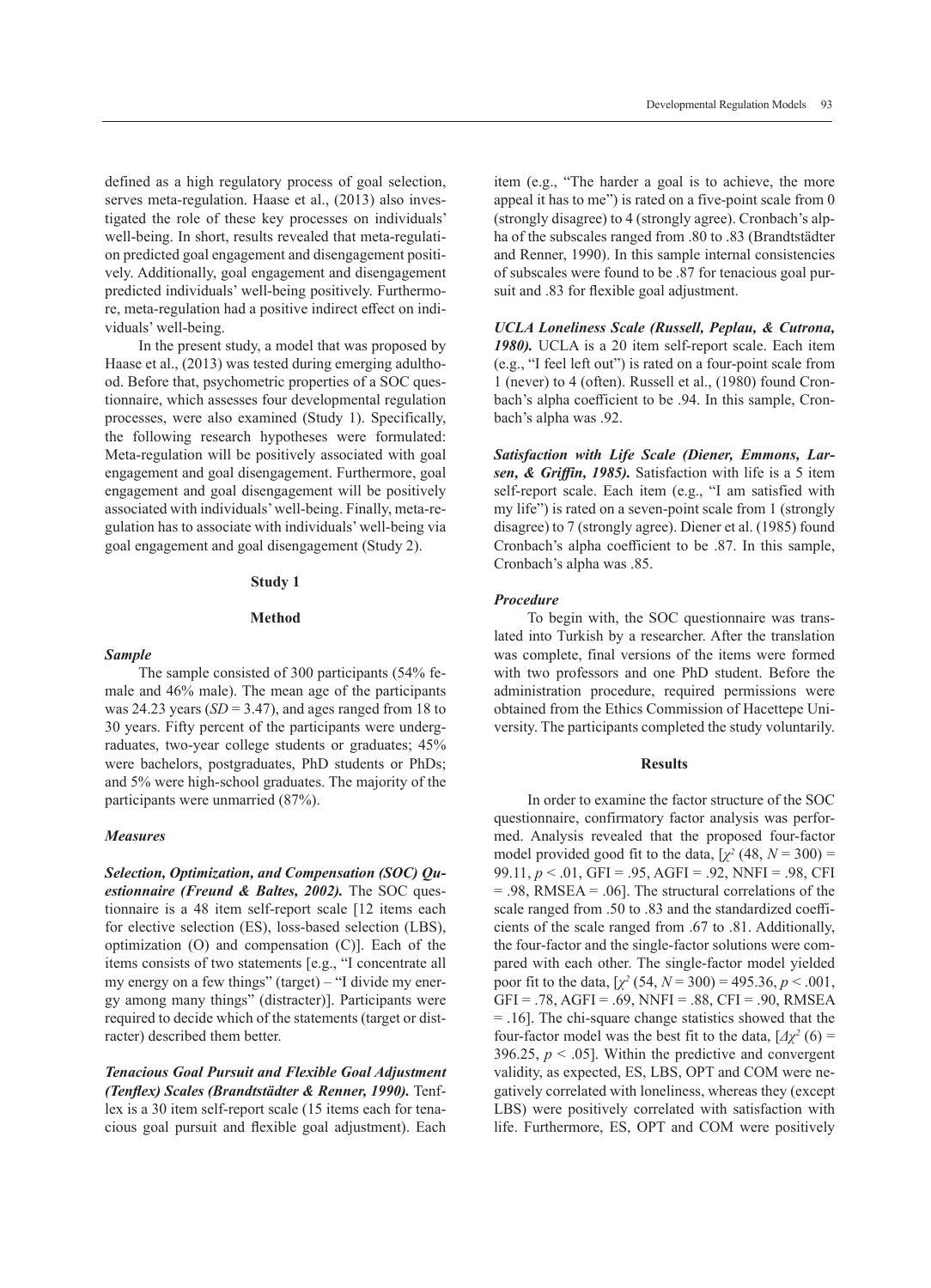defined as a high regulatory process of goal selection, serves meta-regulation. Haase et al., (2013) also investigated the role of these key processes on individuals' well-being. In short, results revealed that meta-regulation predicted goal engagement and disengagement positively. Additionally, goal engagement and disengagement predicted individuals' well-being positively. Furthermore, meta-regulation had a positive indirect effect on individuals' well-being.

In the present study, a model that was proposed by Haase et al., (2013) was tested during emerging adulthood. Before that, psychometric properties of a SOC questionnaire, which assesses four developmental regulation processes, were also examined (Study 1). Specifically, the following research hypotheses were formulated: Meta-regulation will be positively associated with goal engagement and goal disengagement. Furthermore, goal engagement and goal disengagement will be positively associated with individuals' well-being. Finally, meta-regulation has to associate with individuals' well-being via goal engagement and goal disengagement (Study 2).

#### **Study 1**

# **Method**

## *Sample*

The sample consisted of 300 participants (54% female and 46% male). The mean age of the participants was 24.23 years  $(SD = 3.47)$ , and ages ranged from 18 to 30 years. Fifty percent of the participants were undergraduates, two-year college students or graduates; 45% were bachelors, postgraduates, PhD students or PhDs; and 5% were high-school graduates. The majority of the participants were unmarried (87%).

## *Measures*

*Selection, Optimization, and Compensation (SOC) Questionnaire (Freund & Baltes, 2002).* The SOC questionnaire is a 48 item self-report scale [12 items each for elective selection (ES), loss-based selection (LBS), optimization (O) and compensation (C)]. Each of the items consists of two statements [e.g., "I concentrate all my energy on a few things" (target) – "I divide my energy among many things" (distracter)]. Participants were required to decide which of the statements (target or distracter) described them better.

*Tenacious Goal Pursuit and Flexible Goal Adjustment (Tenflex) Scales (Brandtstädter & Renner, 1990).* Tenflex is a 30 item self-report scale (15 items each for tenacious goal pursuit and flexible goal adjustment). Each item (e.g., "The harder a goal is to achieve, the more appeal it has to me") is rated on a five-point scale from 0 (strongly disagree) to 4 (strongly agree). Cronbach's alpha of the subscales ranged from .80 to .83 (Brandtstädter and Renner, 1990). In this sample internal consistencies of subscales were found to be .87 for tenacious goal pursuit and .83 for flexible goal adjustment.

*UCLA Loneliness Scale (Russell, Peplau, & Cutrona, 1980).* UCLA is a 20 item self-report scale. Each item (e.g., "I feel left out") is rated on a four-point scale from 1 (never) to 4 (often). Russell et al., (1980) found Cronbach's alpha coefficient to be .94. In this sample, Cronbach's alpha was .92.

*Satisfaction with Life Scale (Diener, Emmons, Larsen, & Griffin, 1985).* Satisfaction with life is a 5 item self-report scale. Each item (e.g., "I am satisfied with my life") is rated on a seven-point scale from 1 (strongly disagree) to 7 (strongly agree). Diener et al. (1985) found Cronbach's alpha coefficient to be .87. In this sample, Cronbach's alpha was .85.

#### *Procedure*

To begin with, the SOC questionnaire was translated into Turkish by a researcher. After the translation was complete, final versions of the items were formed with two professors and one PhD student. Before the administration procedure, required permissions were obtained from the Ethics Commission of Hacettepe University. The participants completed the study voluntarily.

#### **Results**

In order to examine the factor structure of the SOC questionnaire, confirmatory factor analysis was performed. Analysis revealed that the proposed four-factor model provided good fit to the data,  $[\chi^2(48, N = 300) =$ 99.11, *p* < .01, GFI = .95, AGFI = .92, NNFI = .98, CFI = .98, RMSEA = .06]. The structural correlations of the scale ranged from .50 to .83 and the standardized coefficients of the scale ranged from .67 to .81. Additionally, the four-factor and the single-factor solutions were compared with each other. The single-factor model yielded poor fit to the data,  $[\chi^2 (54, N = 300) = 495.36, p < .001,$  $GFI = .78, AGFI = .69, NNFI = .88, CFI = .90, RMSEA$ = .16]. The chi-square change statistics showed that the four-factor model was the best fit to the data,  $[\Delta \chi^2(6) =$ 396.25,  $p < .05$ ]. Within the predictive and convergent validity, as expected, ES, LBS, OPT and COM were negatively correlated with loneliness, whereas they (except LBS) were positively correlated with satisfaction with life. Furthermore, ES, OPT and COM were positively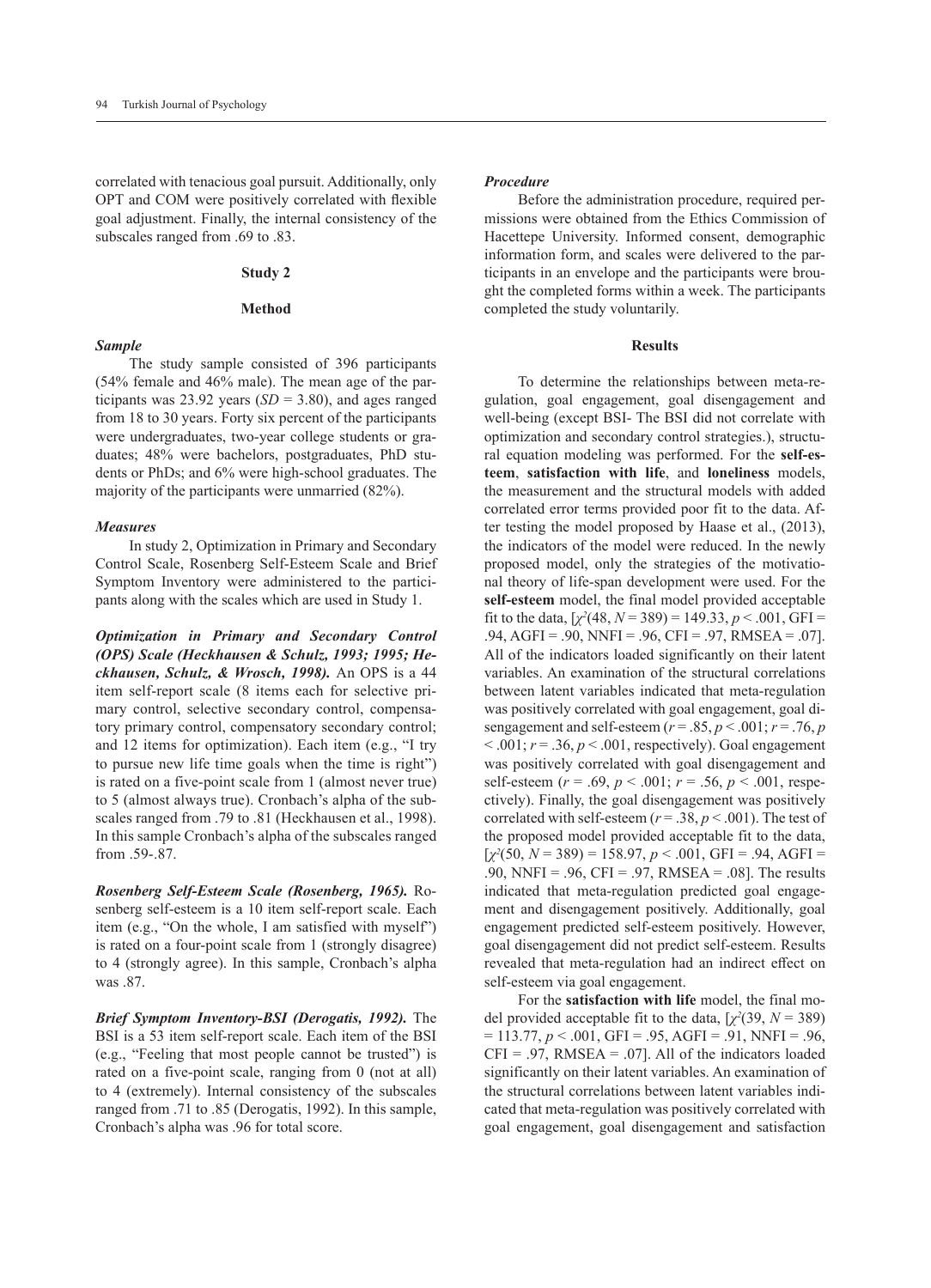correlated with tenacious goal pursuit. Additionally, only OPT and COM were positively correlated with flexible goal adjustment. Finally, the internal consistency of the subscales ranged from .69 to .83.

#### **Study 2**

# **Method**

#### *Sample*

The study sample consisted of 396 participants (54% female and 46% male). The mean age of the participants was 23.92 years  $(SD = 3.80)$ , and ages ranged from 18 to 30 years. Forty six percent of the participants were undergraduates, two-year college students or graduates; 48% were bachelors, postgraduates, PhD students or PhDs; and 6% were high-school graduates. The majority of the participants were unmarried (82%).

#### *Measures*

In study 2, Optimization in Primary and Secondary Control Scale, Rosenberg Self-Esteem Scale and Brief Symptom Inventory were administered to the participants along with the scales which are used in Study 1.

*Optimization in Primary and Secondary Control (OPS) Scale (Heckhausen & Schulz, 1993; 1995; Heckhausen, Schulz, & Wrosch, 1998).* An OPS is a 44 item self-report scale (8 items each for selective primary control, selective secondary control, compensatory primary control, compensatory secondary control; and 12 items for optimization). Each item (e.g., "I try to pursue new life time goals when the time is right") is rated on a five-point scale from 1 (almost never true) to 5 (almost always true). Cronbach's alpha of the subscales ranged from .79 to .81 (Heckhausen et al., 1998). In this sample Cronbach's alpha of the subscales ranged from .59-.87.

*Rosenberg Self-Esteem Scale (Rosenberg, 1965).* Rosenberg self-esteem is a 10 item self-report scale. Each item (e.g., "On the whole, I am satisfied with myself") is rated on a four-point scale from 1 (strongly disagree) to 4 (strongly agree). In this sample, Cronbach's alpha  $was$   $87$ 

*Brief Symptom Inventory-BSI (Derogatis, 1992).* The BSI is a 53 item self-report scale. Each item of the BSI (e.g., "Feeling that most people cannot be trusted") is rated on a five-point scale, ranging from 0 (not at all) to 4 (extremely). Internal consistency of the subscales ranged from .71 to .85 (Derogatis, 1992). In this sample, Cronbach's alpha was .96 for total score.

# *Procedure*

Before the administration procedure, required permissions were obtained from the Ethics Commission of Hacettepe University. Informed consent, demographic information form, and scales were delivered to the participants in an envelope and the participants were brought the completed forms within a week. The participants completed the study voluntarily.

## **Results**

To determine the relationships between meta-regulation, goal engagement, goal disengagement and well-being (except BSI- The BSI did not correlate with optimization and secondary control strategies.), structural equation modeling was performed. For the **self-esteem**, **satisfaction with life**, and **loneliness** models, the measurement and the structural models with added correlated error terms provided poor fit to the data. After testing the model proposed by Haase et al., (2013), the indicators of the model were reduced. In the newly proposed model, only the strategies of the motivational theory of life-span development were used. For the **self-esteem** model, the final model provided acceptable fit to the data,  $[\chi^2(48, N = 389)] = 149.33, p < .001, GFI =$ .94, AGFI = .90, NNFI = .96, CFI = .97, RMSEA = .07]. All of the indicators loaded significantly on their latent variables. An examination of the structural correlations between latent variables indicated that meta-regulation was positively correlated with goal engagement, goal disengagement and self-esteem  $(r = .85, p < .001; r = .76, p$  $< .001$ ;  $r = .36$ ,  $p < .001$ , respectively). Goal engagement was positively correlated with goal disengagement and self-esteem (*r* = .69, *p* < .001; *r* = .56, *p* < .001, respectively). Finally, the goal disengagement was positively correlated with self-esteem  $(r = .38, p < .001)$ . The test of the proposed model provided acceptable fit to the data,  $[\chi^2(50, N = 389) = 158.97, p < .001, GFI = .94, AGFI =$ .90, NNFI = .96, CFI = .97, RMSEA = .08]. The results indicated that meta-regulation predicted goal engagement and disengagement positively. Additionally, goal engagement predicted self-esteem positively. However, goal disengagement did not predict self-esteem. Results revealed that meta-regulation had an indirect effect on self-esteem via goal engagement.

For the **satisfaction with life** model, the final model provided acceptable fit to the data,  $[\chi^2(39, N = 389)]$  $= 113.77, p < .001, GFI = .95, AGFI = .91, NNFI = .96,$  $CFI = .97$ , RMSEA = .07]. All of the indicators loaded significantly on their latent variables. An examination of the structural correlations between latent variables indicated that meta-regulation was positively correlated with goal engagement, goal disengagement and satisfaction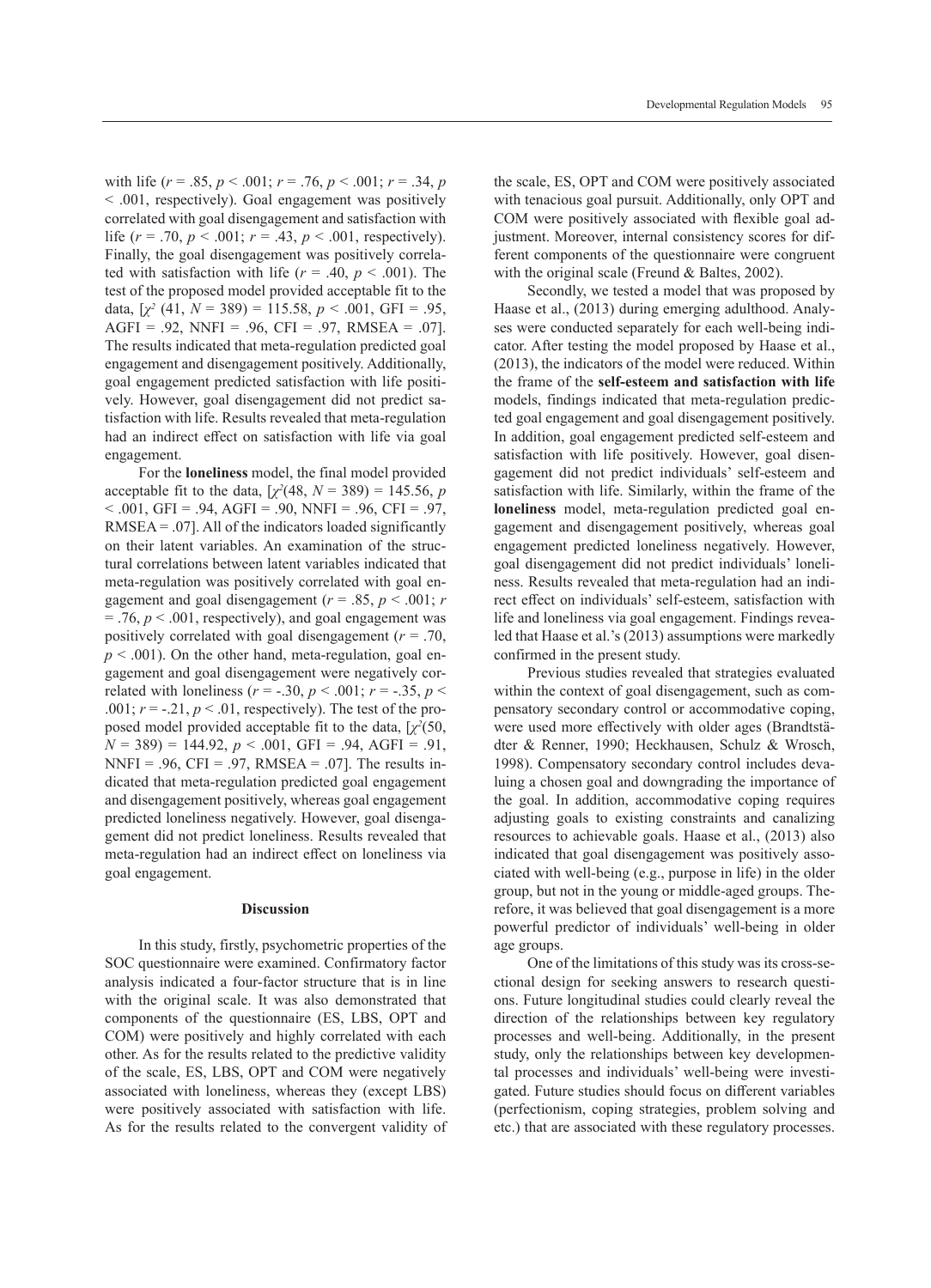with life  $(r = .85, p < .001; r = .76, p < .001; r = .34, p$ < .001, respectively). Goal engagement was positively correlated with goal disengagement and satisfaction with life  $(r = .70, p < .001; r = .43, p < .001$ , respectively). Finally, the goal disengagement was positively correlated with satisfaction with life  $(r = .40, p < .001)$ . The test of the proposed model provided acceptable fit to the data,  $[\chi^2(41, N = 389) = 115.58, p < .001, \text{ GFI} = .95,$  $AGFI = .92$ ,  $NNFI = .96$ ,  $CFI = .97$ ,  $RMSEA = .07$ ]. The results indicated that meta-regulation predicted goal engagement and disengagement positively. Additionally, goal engagement predicted satisfaction with life positively. However, goal disengagement did not predict satisfaction with life. Results revealed that meta-regulation had an indirect effect on satisfaction with life via goal engagement.

For the **loneliness** model, the final model provided acceptable fit to the data,  $[\chi^2(48, N = 389) = 145.56, p]$  $< .001$ , GFI = .94, AGFI = .90, NNFI = .96, CFI = .97,  $RMSEA = .07$ . All of the indicators loaded significantly on their latent variables. An examination of the structural correlations between latent variables indicated that meta-regulation was positively correlated with goal engagement and goal disengagement ( $r = .85$ ,  $p < .001$ ; *r*  $=$  .76,  $p < .001$ , respectively), and goal engagement was positively correlated with goal disengagement (*r* = .70,  $p < .001$ ). On the other hand, meta-regulation, goal engagement and goal disengagement were negatively correlated with loneliness ( $r = -.30, p < .001$ ;  $r = -.35, p <$ .001;  $r = -0.21$ ,  $p < 0.01$ , respectively). The test of the proposed model provided acceptable fit to the data, [*χ<sup>2</sup>* (50,  $N = 389$ ) = 144.92,  $p < .001$ , GFI = .94, AGFI = .91, NNFI = .96, CFI = .97, RMSEA = .07]. The results indicated that meta-regulation predicted goal engagement and disengagement positively, whereas goal engagement predicted loneliness negatively. However, goal disengagement did not predict loneliness. Results revealed that meta-regulation had an indirect effect on loneliness via goal engagement.

## **Discussion**

In this study, firstly, psychometric properties of the SOC questionnaire were examined. Confirmatory factor analysis indicated a four-factor structure that is in line with the original scale. It was also demonstrated that components of the questionnaire (ES, LBS, OPT and COM) were positively and highly correlated with each other. As for the results related to the predictive validity of the scale, ES, LBS, OPT and COM were negatively associated with loneliness, whereas they (except LBS) were positively associated with satisfaction with life. As for the results related to the convergent validity of the scale, ES, OPT and COM were positively associated with tenacious goal pursuit. Additionally, only OPT and COM were positively associated with flexible goal adjustment. Moreover, internal consistency scores for different components of the questionnaire were congruent with the original scale (Freund & Baltes, 2002).

Secondly, we tested a model that was proposed by Haase et al., (2013) during emerging adulthood. Analyses were conducted separately for each well-being indicator. After testing the model proposed by Haase et al., (2013), the indicators of the model were reduced. Within the frame of the **self-esteem and satisfaction with life**  models, findings indicated that meta-regulation predicted goal engagement and goal disengagement positively. In addition, goal engagement predicted self-esteem and satisfaction with life positively. However, goal disengagement did not predict individuals' self-esteem and satisfaction with life. Similarly, within the frame of the **loneliness** model, meta-regulation predicted goal engagement and disengagement positively, whereas goal engagement predicted loneliness negatively. However, goal disengagement did not predict individuals' loneliness. Results revealed that meta-regulation had an indirect effect on individuals' self-esteem, satisfaction with life and loneliness via goal engagement. Findings revealed that Haase et al.'s (2013) assumptions were markedly confirmed in the present study.

Previous studies revealed that strategies evaluated within the context of goal disengagement, such as compensatory secondary control or accommodative coping, were used more effectively with older ages (Brandtstädter & Renner, 1990; Heckhausen, Schulz & Wrosch, 1998). Compensatory secondary control includes devaluing a chosen goal and downgrading the importance of the goal. In addition, accommodative coping requires adjusting goals to existing constraints and canalizing resources to achievable goals. Haase et al., (2013) also indicated that goal disengagement was positively associated with well-being (e.g., purpose in life) in the older group, but not in the young or middle-aged groups. Therefore, it was believed that goal disengagement is a more powerful predictor of individuals' well-being in older age groups.

One of the limitations of this study was its cross-sectional design for seeking answers to research questions. Future longitudinal studies could clearly reveal the direction of the relationships between key regulatory processes and well-being. Additionally, in the present study, only the relationships between key developmental processes and individuals' well-being were investigated. Future studies should focus on different variables (perfectionism, coping strategies, problem solving and etc.) that are associated with these regulatory processes.